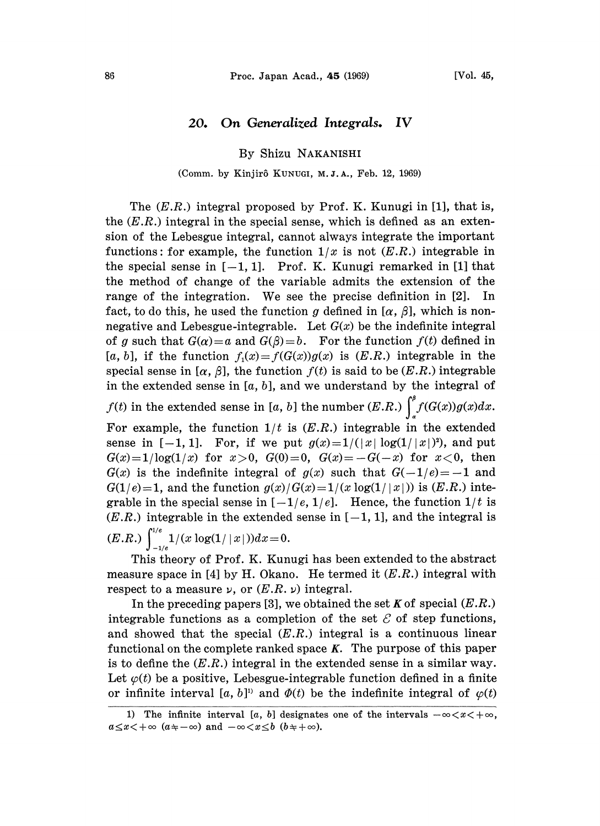## 20. On Generalized Integrals. IV

By Shizu NAKANISHI

## (Comm. by Kinjirô KUNUGI, M.J.A., Feb. 12, 1969)

The  $(E.R.)$  integral proposed by Prof. K. Kunugi in [1], that is, the  $(E.R.)$  integral in the special sense, which is defined as an extension of the Lebesgue integral, cannot always integrate the important functions: for example, the function  $1/x$  is not  $(E.R.)$  integrable in the special sense in  $[-1, 1]$ . Prof. K. Kunugi remarked in [1] that the method of change of the variable admits the extension of the range of the integration. We see the precise definition in [2]. In fact, to do this, he used the function g defined in  $[\alpha, \beta]$ , which is nonnegative and Lebesgue-integrable. Let  $G(x)$  be the indefinite integral of g such that  $G(\alpha)=\alpha$  and  $G(\beta)=b$ . For the function  $f(t)$  defined in [a, b], if the function  $f_1(x) = f(G(x))g(x)$  is  $(E.R.)$  integrable in the special sense in  $[\alpha, \beta]$ , the function  $f(t)$  is said to be  $(E.R.)$  integrable in the extended sense in  $[a, b]$ , and we understand by the integral of

 $f(t)$  in the extended sense in [a, b] the number (E.R.)  $\int_{-a}^{b} f(G(x))g(x)dx$ .

For example, the function  $1/t$  is  $(E.R.)$  integrable in the extended sense in  $[-1, 1]$ . For, if we put  $g(x)=1/(|x| \log(1/|x|)^2)$ , and put  $G(x)=1/\log(1/x)$  for  $x>0$ ,  $G(0)=0$ ,  $G(x)=-G(-x)$  for  $x<0$ , then  $G(x)$  is the indefinite integral of  $g(x)$  such that  $G(-1/e)=-1$  and  $G(1/e)=1$ , and the function  $g(x)/G(x)=1/(x \log(1/|x|))$  is  $(E.R.)$  integrable in the special sense in  $[-1/e, 1/e]$ . Hence, the function  $1/t$  is  $(E.R.)$  integrable in the extended sense in  $[-1, 1]$ , and the integral is  $(E.R.) \int_{-1/e}^{1/e} 1/(x \log(1/|x|)) dx\!=\!0.$ 

This theory of Prof. K. Kunugi has been extended to the abstract measure space in [4] by H. Okano. He termed it  $(E.R.)$  integral with respect to a measure  $\nu$ , or  $(E.R. \nu)$  integral.

In the preceding papers [3], we obtained the set K of special  $(E.R.)$ integrable functions as a completion of the set  $\mathcal E$  of step functions, and showed that the special  $(E.R.)$  integral is a continuous linear functional on the complete ranked space  $K$ . The purpose of this paper is to define the  $(E.R.)$  integral in the extended sense in a similar way. Let  $\varphi(t)$  be a positive, Lebesgue-integrable function defined in a finite or infinite interval [a, b]<sup>11</sup> and  $\Phi(t)$  be the indefinite integral of  $\varphi(t)$ 

<sup>1)</sup> The infinite interval [a, b] designates one of the intervals  $-\infty < x < +\infty$ ,  $a \leq x < +\infty$  ( $a \neq -\infty$ ) and  $-\infty < x \leq b$  ( $b \neq +\infty$ ).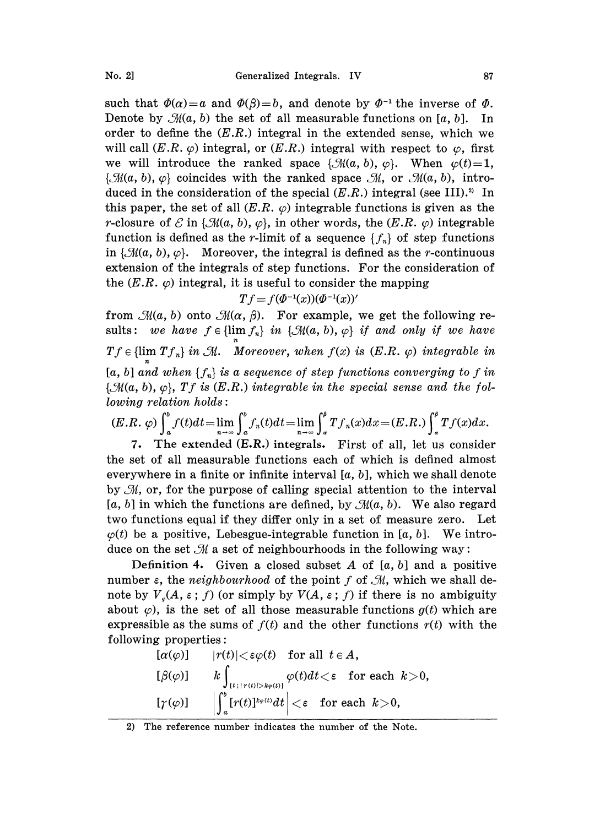such that  $\Phi(\alpha)=a$  and  $\Phi(\beta)=b$ , and denote by  $\Phi^{-1}$  the inverse of  $\Phi$ .<br>Denote by  $\mathcal{M}(a, b)$  the set of all measurable functions on [a, b]. In order to define the (E.R.) integral in the extended sense, which we will Denote by  $\mathcal{M}(a, b)$  the set of all measurable functions on [a, b]. In order to define the  $(E.R.)$  integral in the extended sense, which we will call  $(E.R. \varphi)$  integral, or  $(E.R.)$  integral with respect to  $\varphi$ , first we will introduce the ranked space  $\{\mathcal{M}(a, b), \varphi\}$ . When  $\varphi(t)=1$ ,  $\{\mathcal{M}(a, b), \varphi\}$  coincides with the ranked space  $\mathcal{M}$ , or  $\mathcal{M}(a, b)$ , introduced in the consideration of the special  $(E.R.)$  integral (see III).<sup>2)</sup> In this paper, the set of all  $(E.R. \varphi)$  integrable functions is given as the r-closure of  $\mathcal E$  in { $\mathcal M(a, b), \varphi$ }, in other words, the (E.R.  $\varphi$ ) integrable function is defined as the r-limit of a sequence  $\{f_n\}$  of step functions in  $\{\mathcal{M}(a, b), \varphi\}$ . Moreover, the integral is defined as the *r*-continuous extension of the integrals of step functions. For the consideration of the  $(E.R. \varphi)$  integral, it is useful to consider the mapping

$$
Tf = f(\Phi^{-1}(x))(\Phi^{-1}(x))'
$$

from  $\mathcal{M}(a, b)$  onto  $\mathcal{M}(\alpha, \beta)$ . For example, we get the following results: we have  $f \in \{\lim f_n\}$  in  $\{\mathcal{M}(a, b), \varphi\}$  if and only if we have  $Tf \in \{\lim_{n} Tf_n\}$  in  $\mathcal{M}$ . Moreover, when  $f(x)$  is  $(E.R. \varphi)$  integrable in  $[a, b]$  and when  $\{f_n\}$  is a sequence of step functions converging to f in  $\{\mathcal{M}(a, b), \varphi\}, Tf$  is  $(E.R.)$  integrable in the special sense and the fol $lowing$  relation  $holds$ :

$$
(E.R. \varphi) \int_a^b f(t)dt = \lim_{n \to \infty} \int_a^b f_n(t)dt = \lim_{n \to \infty} \int_a^b T f_n(x)dx = (E.R.) \int_a^b T f(x)dx.
$$

7. The extended (E.R.) integrals. First of all, let us consider the set of all measurable functions each of which is defined almost everywhere in a finite or infinite interval  $[a, b]$ , which we shall denote by  $\mathcal{M}$ , or, for the purpose of calling special attention to the interval [a, b] in which the functions are defined, by  $\mathcal{M}(a, b)$ . We also regard two functions equal if they differ only in a set of measure zero. Let  $\varphi(t)$  be a positive, Lebesgue-integrable function in [a, b]. We introduce on the set  $\mathcal M$  a set of neighbourhoods in the following way:

Definition 4. Given a closed subset A of  $[a, b]$  and a positive number  $\varepsilon$ , the *neighbourhood* of the point f of  $\mathcal{M}$ , which we shall denote by  $V_{\varphi}(A, \varepsilon; f)$  (or simply by  $V(A, \varepsilon; f)$  if there is no ambiguity about  $\varphi$ ), is the set of all those measurable functions  $g(t)$  which are expressible as the sums of  $f(t)$  and the other functions  $r(t)$  with the following properties:

$$
\begin{array}{ll}\n[\alpha(\varphi)] & |r(t)| < \varepsilon \varphi(t) \quad \text{for all } t \in A, \\
[\beta(\varphi)] & k \int_{(t \,; |r(t)| > k \varphi(t))} \varphi(t) dt < \varepsilon \quad \text{for each } k > 0, \\
[\gamma(\varphi)] & \left| \int_a^b [r(t)]^{k \varphi(t)} dt \right| < \varepsilon \quad \text{for each } k > 0,\n\end{array}
$$

<sup>2)</sup> The reference number indicates the number of the Note.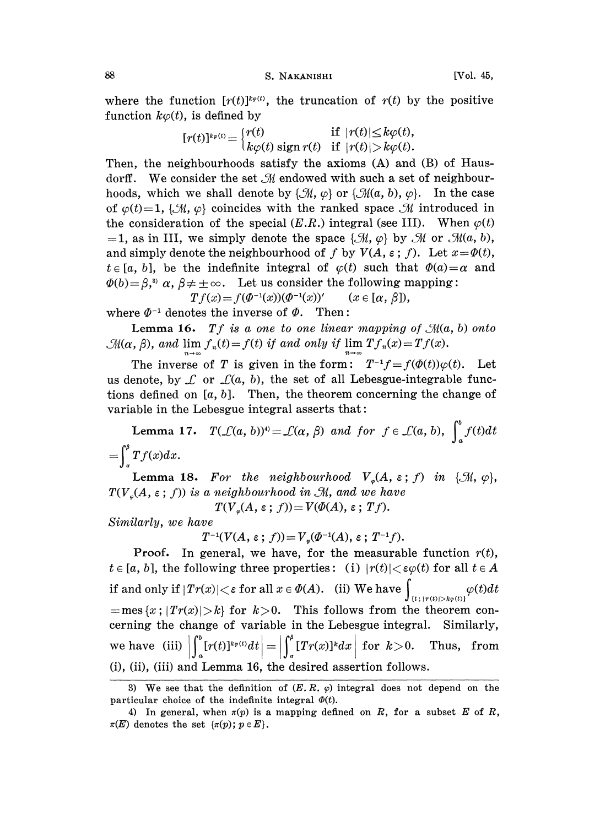88 S. NAKANISHI [Vol. 45,

where the function  $[r(t)]^{k\varphi(t)}$ , the truncation of  $r(t)$  by the positive function  $k\varphi(t)$ , is defined by

$$
[r(t)]^{k\varphi(t)} = \begin{cases} r(t) & \text{if } |r(t)| \le k\varphi(t), \\ k\varphi(t) & \text{if } |r(t)| > k\varphi(t). \end{cases}
$$

Then, the neighbourhoods satisfy he axioms (A) and (B) of Hausdorff. We consider the set  $\mathcal M$  endowed with such a set of neighbourhoods, which we shall denote by  $\{\mathcal{M}, \varphi\}$  or  $\{\mathcal{M}(a, b), \varphi\}$ . In the case of  $\varphi(t)=1$ , { $\mathcal{M}, \varphi$ } coincides with the ranked space  $\mathcal M$  introduced in the consideration of the special  $(E.R.)$  integral (see III). When  $\varphi(t)$ =1, as in III, we simply denote the space  $\{\mathcal{M}, \varphi\}$  by  $\mathcal{M}$  or  $\mathcal{M}(a, b)$ , and simply denote the neighbourhood of f by  $V(A, \varepsilon; f)$ . Let  $x = \Phi(t)$ ,  $t \in [a, b]$ , be the indefinite integral of  $\varphi(t)$  such that  $\varPhi(a) = \alpha$  and  $\Phi(b) = \beta$ ,<sup>3</sup>  $\alpha$ ,  $\beta \neq \pm \infty$ . Let us consider the following mapping:  $Tf(x) = f(\Phi^{-1}(x))(\Phi^{-1}(x))'$   $(x \in [\alpha, \beta]),$ 

where  $\Phi^{-1}$  denotes the inverse of  $\Phi$ . Then:

**Lemma 16.** Tf is a one to one linear mapping of  $\mathcal{M}(a, b)$  onto  $\mathfrak{M}(\alpha, \beta)$ , and  $\lim f_n(t) = f(t)$  if and only if  $\lim Tf_n(x) = Tf(x)$ .

The inverse of T is given in the form:  $T^{-1}f = f(\phi(t))\varphi(t)$ . Let us denote, by  $\mathcal L$  or  $\mathcal L(a, b)$ , the set of all Lebesgue-integrable functions defined on  $[a, b]$ . Then, the theorem concerning the change of variable in the Lebesgue integral asserts that:

Lemma 17.  $T(\mathcal{L}(a, b))^{t} = \mathcal{L}(\alpha, \beta)$  and for  $f \in \mathcal{L}(a, b)$ ,  $\int_{a}^{b} f(t)dt$  $=\int^{\beta} Tf(x)dx.$ 

Lemma 18. For the neighbourhood  $V_c(A, \varepsilon; f)$  in { $\mathcal{M}, \varphi$ },  $T(V(G,A,\varepsilon; f))$  is a neighbourhood in  $\mathcal{M}$ , and we have

 $T(V_{\varphi}(A, \varepsilon; f))=V(\varPhi(A), \varepsilon; Tf).$ 

Similarly, we have

 $T^{-1}(V(A, \varepsilon; f)) = V_{\varepsilon}(\Phi^{-1}(A), \varepsilon; T^{-1}f).$ 

**Proof.** In general, we have, for the measurable function  $r(t)$ ,  $t \in [a, b]$ , the following three properties: (i)  $|r(t)| < \varepsilon \varphi(t)$  for all  $t \in A$ if and only if  $|Tr(x)|{<}\varepsilon$  for all  $x\in \varPhi(A).$  (ii) We have  $\int_{\{t\,;\,|\,r(t)|>k_\varphi(t))}}\varphi(t)dt$  $=$ mes  $\{x : |Tr(x)| > k\}$  for  $k>0$ . This follows from the theorem concerning the change of variable in the Lebesgue integral. Similarly, we have (iii)  $\left|\int_a^b [r(t)]^{\kappa \varphi(t)} dt\right| = \left|\int_a^b [Tr(x)]^k dx\right|$  for  $k > 0$ . Thus, from (i), (ii), (iii) and Lemma 16, the desired assertion follows.

<sup>3)</sup> We see that the definition of  $(E, R, \varphi)$  integral does not depend on the particular choice of the indefinite integral  $\Phi(t)$ .

<sup>4)</sup> In general, when  $\pi(p)$  is a mapping defined on R, for a subset E of R,  $\pi(E)$  denotes the set  $\{\pi(p); p \in E\}.$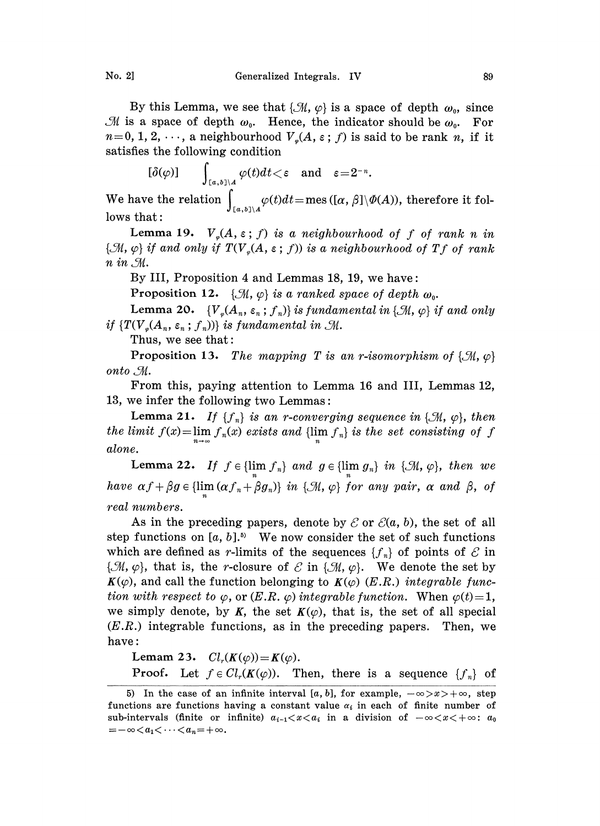By this Lemma, we see that  $\{\mathcal{M}, \varphi\}$  is a space of depth  $\omega_0$ , since M is a space of depth  $\omega_0$ . Hence, the indicator should be  $\omega_0$ . For  $n=0, 1, 2, \dots$ , a neighbourhood  $V_{\varphi}(A, \varepsilon; f)$  is said to be rank n, if it satisfies the following condition

 $[\delta(\varphi)] \qquad \int_{[a,b]\setminus A} \varphi(t) dt < \varepsilon \quad \text{and} \quad \varepsilon = 2^{-n}.$ 

We have the relation  $\int_{\mathbb{R}} \varphi(t) dt = \text{mes }([\alpha, \beta] \setminus \varPhi(A)),$  therefore it follows that:

Lemma 19.  $V_{\varphi}(A, \varepsilon; f)$  is a neighbourhood of f of rank n in  $\{\mathcal{M}, \varphi\}$  if and only if  $TV_s(A, \varepsilon; f)$  is a neighbourhood of  $Tf$  of rank  $n \in \mathcal{M}$ .

By III, Proposition 4 and Lemmas 18, 19, we have:

Proposition 12.  $\{\mathcal{M}, \varphi\}$  is a ranked space of depth  $\omega_0$ .

Lemma 20.  $\{V_{\varphi}(A_n, \varepsilon_n; f_n)\}\$ is fundamental in  $\{\mathcal{M}, \varphi\}$  if and only if  $\{TV_s(A_n, \varepsilon_n; f_n)\}\$ is fundamental in  $\mathcal{M}.$ 

Thus, we see that:

**Proposition 13.** The mapping T is an r-isomorphism of  $\{\mathcal{M}, \varphi\}$ onto . M.

From this, paying attention to Lemma 16 and III, Lemmas 12, 13, we infer the following two Lemmas:

**Lemma 21.** If  $\{f_n\}$  is an r-converging sequence in  $\{\mathcal{M}, \varphi\}$ , then the limit  $f(x) = \lim_{n \to \infty} f_n(x)$  exists and  $\{\lim_{n} f_n\}$  is the set consisting of f alone.

Lemma 22. If  $f \in \{\lim f_n\}$  and  $g \in \{\lim g_n\}$  in  $\{\mathcal{M}, \varphi\}$ , then we have  $\alpha f + \beta g \in \{ \lim_{n} (\alpha f_n + \beta g_n) \}$  in  $\{ \mathcal{M}, \varphi \}$  for any pair,  $\alpha$  and  $\beta$ , of real numbers.

As in the preceding papers, denote by  $\mathcal E$  or  $\mathcal E(a, b)$ , the set of all step functions on  $[a, b]$ .<sup>5</sup> We now consider the set of such functions which are defined as r-limits of the sequences  $\{f_n\}$  of points of  $\mathcal E$  in { $\mathcal{M}, \varphi$ }, that is, the r-closure of  $\mathcal E$  in { $\mathcal M, \varphi$ }. We denote the set by  $K(\varphi)$ , and call the function belonging to  $K(\varphi)$  (E.R.) integrable function with respect to  $\varphi$ , or  $(E.R. \varphi)$  integrable function. When  $\varphi(t)=1$ , we simply denote, by K, the set  $K(\varphi)$ , that is, the set of all special  $(E.R.)$  integrable functions, as in the preceding papers. Then, we have:

Lemam 23.  $Cl_r(K(\varphi)) = K(\varphi)$ . **Proof.** Let  $f \in Cl_r(K(\varphi))$ . Then, there is a sequence  $\{f_n\}$  of

<sup>5)</sup> In the case of an infinite interval [a, b], for example,  $-\infty > x > +\infty$ , step functions are functions having a constant value  $\alpha_i$  in each of finite number of sub-intervals (finite or infinite)  $a_{i-1} < x < a_i$  in a division of  $-\infty < x < +\infty$ :  $a_0$  $=-\infty\! < \!a_1\!\!< \cdots\! < \!a_n\!=\!+\infty.$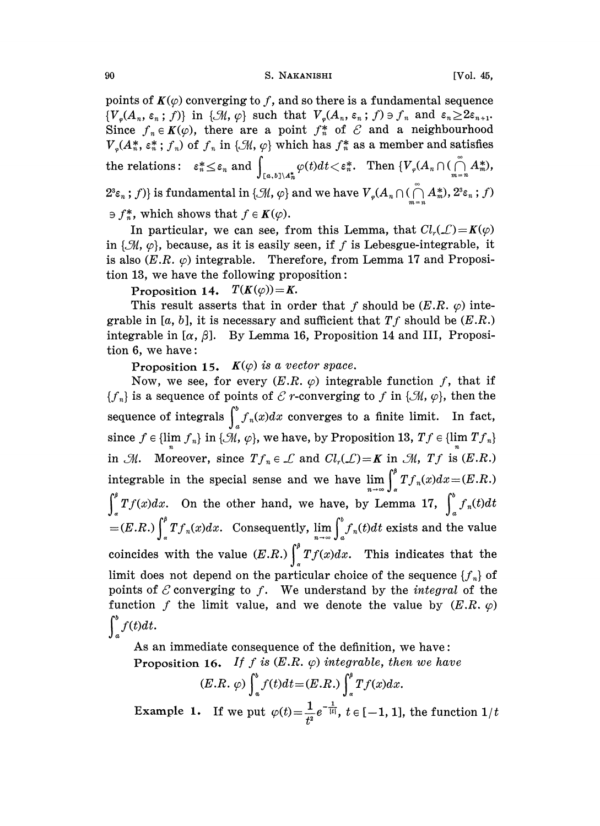points of  $K(\varphi)$  converging to f, and so there is a fundamental sequence  $\{V_{\varphi}(A_n, \varepsilon_n; f)\}\$ in  $\{\mathcal{M}, \varphi\}$  such that  $V_{\varphi}(A_n, \varepsilon_n; f) \ni f_n$  and  $\varepsilon_n \geq 2\varepsilon_{n+1}$ . Since  $f_n \in K(\varphi)$ , there are a point  $f_n^*$  of  $\mathcal E$  and a neighbourhood  $V_{\varphi}(A_n^*, \varepsilon_n^*; f_n)$  of  $f_n$  in  $\{\mathcal M, \varphi\}$  which has  $f_n^*$  as a member and satisfies the relations:  $\varepsilon_n^* \leq \varepsilon_n$  and  $\int_{[a,b]\setminus A_n^*} \varphi(t)dt \leq \varepsilon_n^*$ . Then  $\{V_\varphi(A_n\cap (\bigcap_{m=n}^\infty A_m^*)$ ,  $2^3\varepsilon_n$ ; f) is fundamental in { $\mathcal{M}, \varphi$ } and we have  $V_{\varphi}(A_n \cap (\bigcap_{n=1}^{\infty} A_n^*), 2^3\varepsilon_n$ ; f)  $\Rightarrow$   $f_n^*$ , which shows that  $f \in K(\varphi)$ .

In particular, we can see, from this Lemma, that  $Cl_r(\mathcal{L})=K(\varphi)$ in  $\{\mathcal{M}, \varphi\}$ , because, as it is easily seen, if f is Lebesgue-integrable, it is also  $(E.R. \varphi)$  integrable. Therefore, from Lemma 17 and Proposition 13, we have the following proposition:

Proposition 14.  $T(K(\varphi))=K$ .

This result asserts that in order that f should be  $(E.R. \varphi)$  integrable in [a, b], it is necessary and sufficient that  $Tf$  should be  $(E.R.)$ integrable in  $[\alpha, \beta]$ . By Lemma 16, Proposition 14 and III, Proposition 6, we have:

Proposition 15.  $K(\varphi)$  is a vector space.

Now, we see, for every  $(E.R. \varphi)$  integrable function f, that if  ${f_n}$  is a sequence of points of  $\mathcal C$  r-converging to f in { $\mathcal M, \varphi$ }, then the sequence of integrals  $\int_{a}^{b} f_n(x)dx$  converges to a finite limit. In fact, since  $f \in \{\lim_{n} f_n\}$  in  $\{\mathcal{M}, \varphi\}$ , we have, by Proposition 13,  $Tf \in \{\lim_{n} Tf_n\}$ <br>in  $\mathcal{M}$ . Moreover, since  $Tf_n \in \mathcal{L}$  and  $Cl_r(\mathcal{L}) = K$  in  $\mathcal{M}$ ,  $Tf$  is  $(E.R.)$  $\in \mathcal{L}$  and  $Cl_r(\mathcal{L}) = K$  in  $\mathcal{M}$ ,  $Tf$  is  $(E.R.)$ <br>se and we have  $\lim_{n \to \infty} \int_a^b Tf_n(x)dx = (E.R.)$ <br>nd, we have, by Lemma 17,  $\int_a^b f_n(t)dt$ integrable in the special sense and we have  $\lim_{x\to\infty} \int f_n(x)dx = (E.R.)$  $\int_{a}^{b} Tf(x)dx$ . On the other hand, we have, by Lemma 17,  $\int_{a}^{b} f_n(t)dt$  $=(E.R.)\int_{a}^{b} Tf_n(x)dx$ . Consequently,  $\lim_{n\to\infty}\int_{a}^{b} f_n(t)dt$  exists and the value coincides with the value  $(E.R.)\int_{a}^{b}Tf(x)dx$ . This indicates that the limit does not depend on the particular choice of the sequence  $\{f_n\}$  of points of  $\mathcal E$  converging to f. We understand by the *integral* of the function f the limit value, and we denote the value by  $(E.R. \varphi)$  $\int_{a}^{b} f(t)dt$ .

As an immediate consequence of the definition, we have: Proposition 16. If f is  $(E.R. \varphi)$  integrable, then we have

$$
(E.R. \varphi) \int_a^b f(t)dt = (E.R.) \int_a^b Tf(x)dx.
$$

Example 1. If we put  $\varphi(t)=\frac{1}{t^2}e^{-\frac{1}{|t|}}, t \in [-1, 1]$ , the function  $1/t$